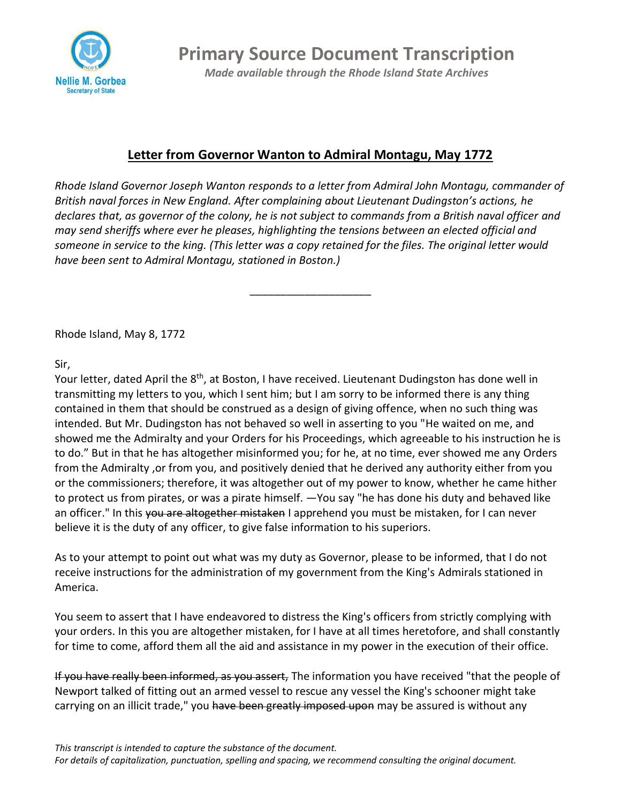

**Primary Source Document Transcription** *Made available through the Rhode Island State Archives*

## **Letter from Governor Wanton to Admiral Montagu, May 1772**

*Rhode Island Governor Joseph Wanton responds to a letter from Admiral John Montagu, commander of British naval forces in New England. After complaining about Lieutenant Dudingston's actions, he declares that, as governor of the colony, he is not subject to commands from a British naval officer and may send sheriffs where ever he pleases, highlighting the tensions between an elected official and someone in service to the king. (This letter was a copy retained for the files. The original letter would have been sent to Admiral Montagu, stationed in Boston.)*

\_\_\_\_\_\_\_\_\_\_\_\_\_\_\_\_\_\_\_\_

Rhode Island, May 8, 1772

Sir,

Your letter, dated April the 8<sup>th</sup>, at Boston, I have received. Lieutenant Dudingston has done well in transmitting my letters to you, which I sent him; but I am sorry to be informed there is any thing contained in them that should be construed as a design of giving offence, when no such thing was intended. But Mr. Dudingston has not behaved so well in asserting to you "He waited on me, and showed me the Admiralty and your Orders for his Proceedings, which agreeable to his instruction he is to do." But in that he has altogether misinformed you; for he, at no time, ever showed me any Orders from the Admiralty ,or from you, and positively denied that he derived any authority either from you or the commissioners; therefore, it was altogether out of my power to know, whether he came hither to protect us from pirates, or was a pirate himself. —You say "he has done his duty and behaved like an officer." In this you are altogether mistaken I apprehend you must be mistaken, for I can never believe it is the duty of any officer, to give false information to his superiors.

As to your attempt to point out what was my duty as Governor, please to be informed, that I do not receive instructions for the administration of my government from the King's Admirals stationed in America.

You seem to assert that I have endeavored to distress the King's officers from strictly complying with your orders. In this you are altogether mistaken, for I have at all times heretofore, and shall constantly for time to come, afford them all the aid and assistance in my power in the execution of their office.

If you have really been informed, as you assert, The information you have received "that the people of Newport talked of fitting out an armed vessel to rescue any vessel the King's schooner might take carrying on an illicit trade," you have been greatly imposed upon may be assured is without any